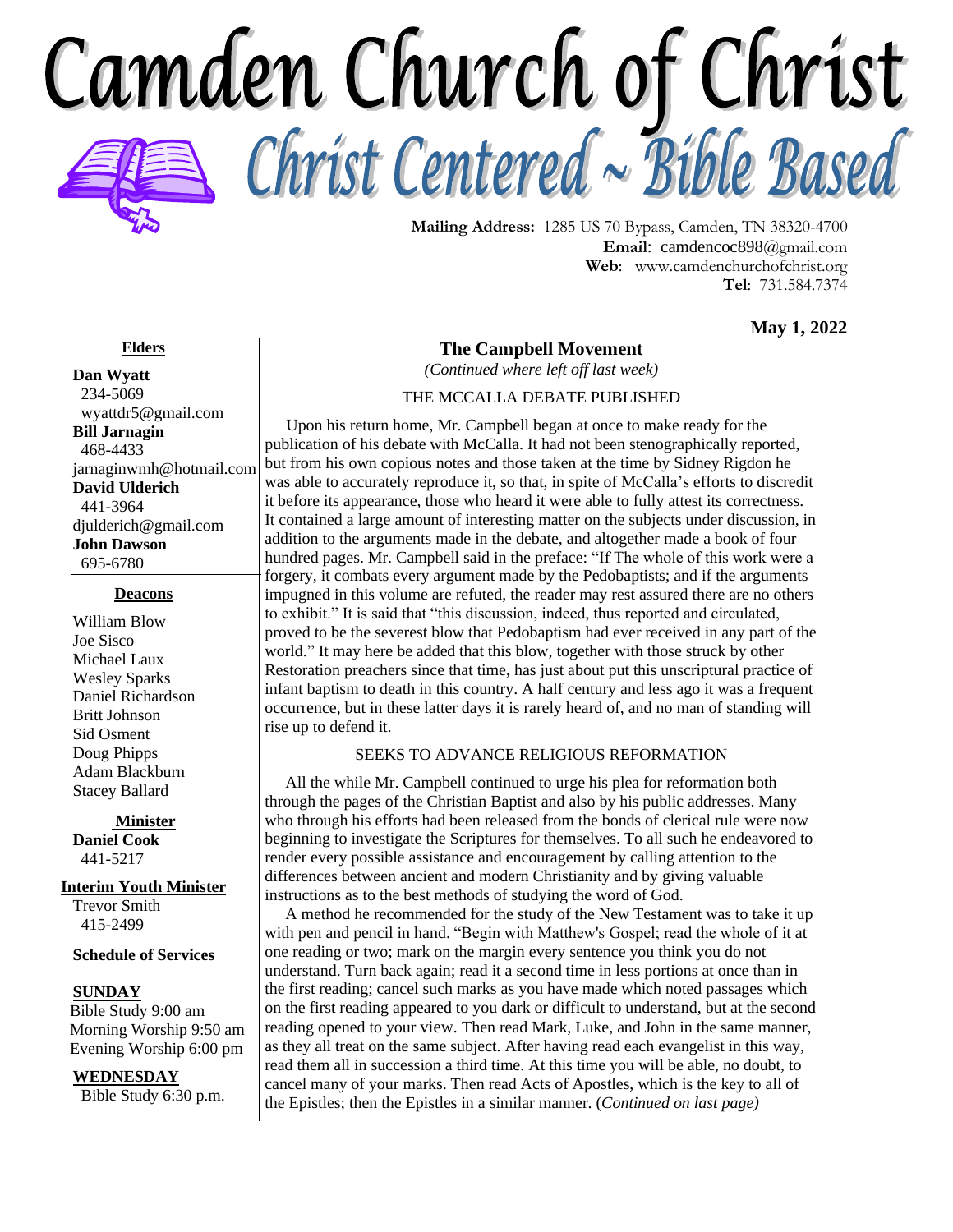Camden Church of Christ Christ Centered ~ Bible Based



**Mailing Address:** 1285 US 70 Bypass, Camden, TN 38320-4700 **Email**: camdencoc898@gmail.com **Web**: [www.camdenchurchofchrist.org](http://www.camdencoc.com/) **Tel**: 731.584.7374

**May 1, 2022**

#### **Elders**

**Dan Wyatt** 234-5069 wyattdr5@gmail.com **Bill Jarnagin** 468-4433 jarnaginwmh@hotmail.com **David Ulderich** 441-3964 [djulderich@gmail.com](mailto:djulderich@gmail.com) **John Dawson** 695-6780

#### **Deacons**

William Blow Joe Sisco Michael Laux Wesley Sparks Daniel Richardson Britt Johnson Sid Osment Doug Phipps Adam Blackburn Stacey Ballard

**Minister Daniel Cook** 441-5217

**Interim Youth Minister** Trevor Smith

415-2499

**Schedule of Services**

#### **SUNDAY**

 Bible Study 9:00 am Morning Worship 9:50 am Evening Worship 6:00 pm

**WEDNESDAY**

Bible Study 6:30 p.m.

## **The Campbell Movement**

*(Continued where left off last week)*

### THE MCCALLA DEBATE PUBLISHED

 Upon his return home, Mr. Campbell began at once to make ready for the publication of his debate with McCalla. It had not been stenographically reported, but from his own copious notes and those taken at the time by Sidney Rigdon he was able to accurately reproduce it, so that, in spite of McCalla's efforts to discredit it before its appearance, those who heard it were able to fully attest its correctness. It contained a large amount of interesting matter on the subjects under discussion, in addition to the arguments made in the debate, and altogether made a book of four hundred pages. Mr. Campbell said in the preface: "If The whole of this work were a forgery, it combats every argument made by the Pedobaptists; and if the arguments impugned in this volume are refuted, the reader may rest assured there are no others to exhibit." It is said that "this discussion, indeed, thus reported and circulated, proved to be the severest blow that Pedobaptism had ever received in any part of the world." It may here be added that this blow, together with those struck by other Restoration preachers since that time, has just about put this unscriptural practice of infant baptism to death in this country. A half century and less ago it was a frequent occurrence, but in these latter days it is rarely heard of, and no man of standing will rise up to defend it.

#### SEEKS TO ADVANCE RELIGIOUS REFORMATION

 All the while Mr. Campbell continued to urge his plea for reformation both through the pages of the Christian Baptist and also by his public addresses. Many who through his efforts had been released from the bonds of clerical rule were now beginning to investigate the Scriptures for themselves. To all such he endeavored to render every possible assistance and encouragement by calling attention to the differences between ancient and modern Christianity and by giving valuable instructions as to the best methods of studying the word of God.

 A method he recommended for the study of the New Testament was to take it up with pen and pencil in hand. "Begin with Matthew's Gospel; read the whole of it at one reading or two; mark on the margin every sentence you think you do not understand. Turn back again; read it a second time in less portions at once than in the first reading; cancel such marks as you have made which noted passages which on the first reading appeared to you dark or difficult to understand, but at the second reading opened to your view. Then read Mark, Luke, and John in the same manner, as they all treat on the same subject. After having read each evangelist in this way, read them all in succession a third time. At this time you will be able, no doubt, to cancel many of your marks. Then read Acts of Apostles, which is the key to all of the Epistles; then the Epistles in a similar manner. (*Continued on last page)*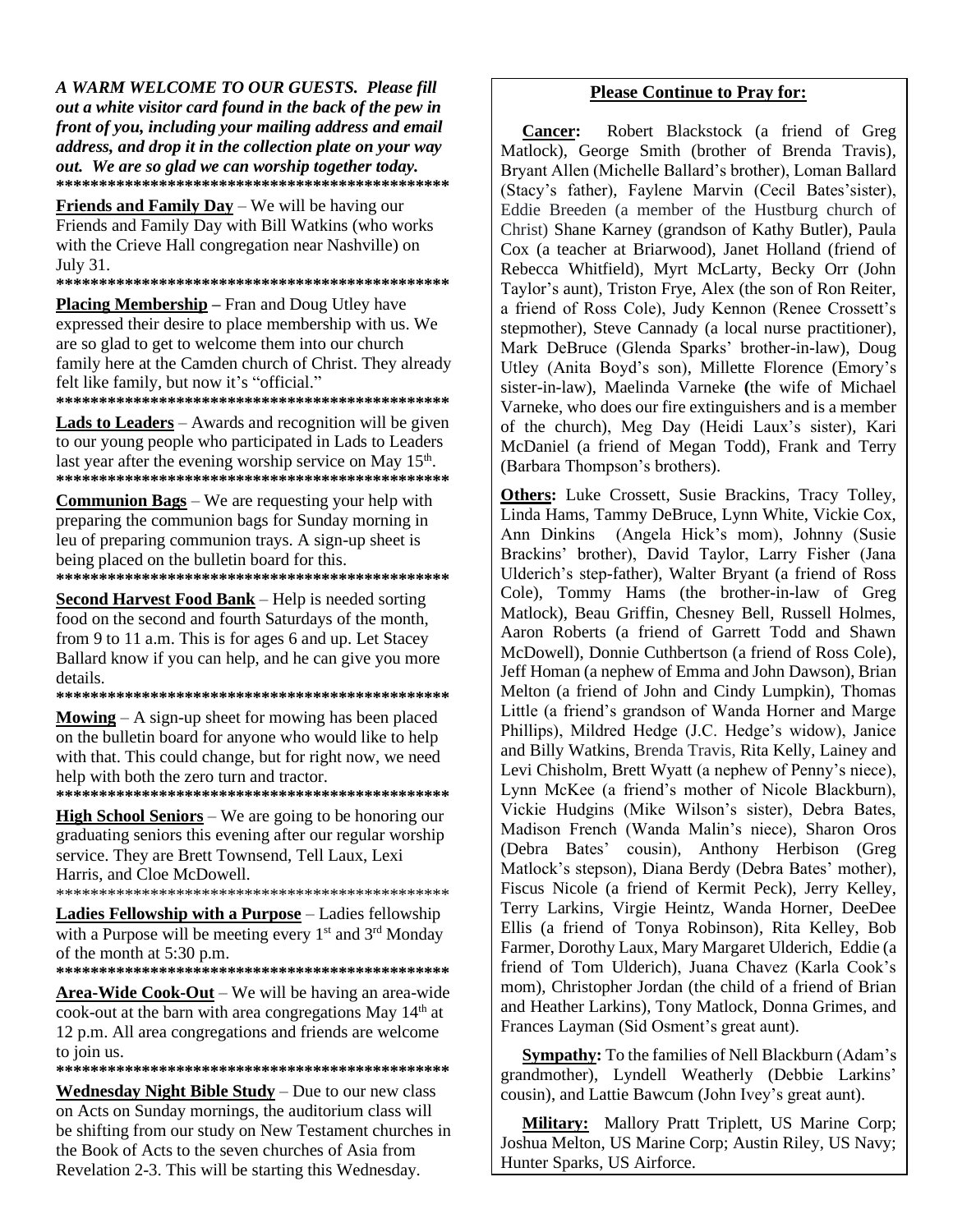A WARM WELCOME TO OUR GUESTS. Please fill out a white visitor card found in the back of the pew in front of you, including your mailing address and email address, and drop it in the collection plate on your way out. We are so glad we can worship together today. 

**Friends and Family Day** – We will be having our Friends and Family Day with Bill Watkins (who works with the Crieve Hall congregation near Nashville) on July 31.

**Placing Membership** - Fran and Doug Utley have expressed their desire to place membership with us. We are so glad to get to welcome them into our church family here at the Camden church of Christ. They already felt like family, but now it's "official." 

**Lads to Leaders** – Awards and recognition will be given to our young people who participated in Lads to Leaders last year after the evening worship service on May 15<sup>th</sup>. 

**Communion Bags** – We are requesting your help with preparing the communion bags for Sunday morning in leu of preparing communion trays. A sign-up sheet is being placed on the bulletin board for this. 

**Second Harvest Food Bank** – Help is needed sorting

food on the second and fourth Saturdays of the month, from 9 to 11 a.m. This is for ages 6 and up. Let Stacey Ballard know if you can help, and he can give you more details.

**Mowing**  $- A$  sign-up sheet for mowing has been placed on the bulletin board for anyone who would like to help with that. This could change, but for right now, we need help with both the zero turn and tractor.

**High School Seniors** – We are going to be honoring our graduating seniors this evening after our regular worship service. They are Brett Townsend, Tell Laux, Lexi Harris, and Cloe McDowell.

Ladies Fellowship with a Purpose - Ladies fellowship with a Purpose will be meeting every  $1<sup>st</sup>$  and  $3<sup>rd</sup>$  Monday of the month at  $5:30$  p.m.

Area-Wide Cook-Out – We will be having an area-wide cook-out at the barn with area congregations May 14<sup>th</sup> at 12 p.m. All area congregations and friends are welcome to join us.

**Wednesday Night Bible Study** – Due to our new class on Acts on Sunday mornings, the auditorium class will be shifting from our study on New Testament churches in the Book of Acts to the seven churches of Asia from Revelation 2-3. This will be starting this Wednesday.

#### **Please Continue to Pray for:**

Robert Blackstock (a friend of Greg **Cancer:** Matlock), George Smith (brother of Brenda Travis), Bryant Allen (Michelle Ballard's brother), Loman Ballard (Stacy's father), Faylene Marvin (Cecil Bates'sister), Eddie Breeden (a member of the Hustburg church of Christ) Shane Karney (grandson of Kathy Butler), Paula Cox (a teacher at Briarwood), Janet Holland (friend of Rebecca Whitfield), Myrt McLarty, Becky Orr (John Taylor's aunt), Triston Frye, Alex (the son of Ron Reiter, a friend of Ross Cole), Judy Kennon (Renee Crossett's stepmother). Steve Cannady (a local nurse practitioner). Mark DeBruce (Glenda Sparks' brother-in-law), Doug Utley (Anita Boyd's son), Millette Florence (Emory's sister-in-law), Maelinda Varneke (the wife of Michael Varneke, who does our fire extinguishers and is a member of the church), Meg Day (Heidi Laux's sister), Kari McDaniel (a friend of Megan Todd), Frank and Terry (Barbara Thompson's brothers).

Others: Luke Crossett, Susie Brackins, Tracy Tolley, Linda Hams, Tammy DeBruce, Lynn White, Vickie Cox, Ann Dinkins (Angela Hick's mom), Johnny (Susie Brackins' brother), David Taylor, Larry Fisher (Jana Ulderich's step-father), Walter Bryant (a friend of Ross Cole), Tommy Hams (the brother-in-law of Greg Matlock), Beau Griffin, Chesney Bell, Russell Holmes, Aaron Roberts (a friend of Garrett Todd and Shawn McDowell), Donnie Cuthbertson (a friend of Ross Cole). Jeff Homan (a nephew of Emma and John Dawson), Brian Melton (a friend of John and Cindy Lumpkin), Thomas Little (a friend's grandson of Wanda Horner and Marge Phillips), Mildred Hedge (J.C. Hedge's widow), Janice and Billy Watkins, Brenda Travis, Rita Kelly, Lainey and Levi Chisholm, Brett Wyatt (a nephew of Penny's niece), Lynn McKee (a friend's mother of Nicole Blackburn), Vickie Hudgins (Mike Wilson's sister), Debra Bates, Madison French (Wanda Malin's niece), Sharon Oros (Debra Bates' cousin), Anthony Herbison (Greg Matlock's stepson), Diana Berdy (Debra Bates' mother), Fiscus Nicole (a friend of Kermit Peck), Jerry Kelley, Terry Larkins, Virgie Heintz, Wanda Horner, DeeDee Ellis (a friend of Tonya Robinson), Rita Kelley, Bob Farmer, Dorothy Laux, Mary Margaret Ulderich, Eddie (a friend of Tom Ulderich), Juana Chavez (Karla Cook's mom), Christopher Jordan (the child of a friend of Brian and Heather Larkins), Tony Matlock, Donna Grimes, and Frances Layman (Sid Osment's great aunt).

**Sympathy:** To the families of Nell Blackburn (Adam's grandmother), Lyndell Weatherly (Debbie Larkins' cousin), and Lattie Bawcum (John Ivey's great aunt).

Military: Mallory Pratt Triplett, US Marine Corp; Joshua Melton, US Marine Corp; Austin Riley, US Navy; Hunter Sparks, US Airforce.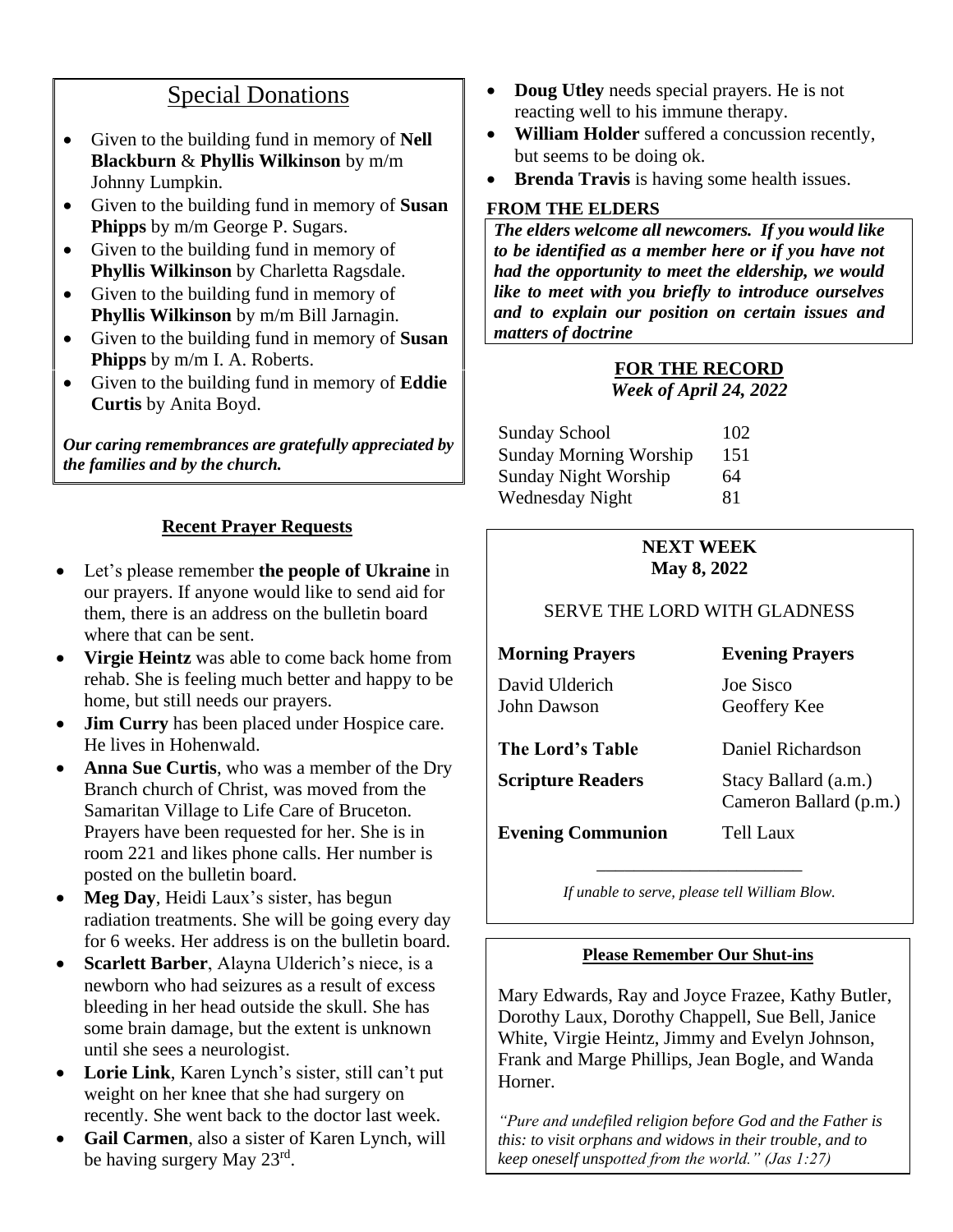# Special Donations

- Given to the building fund in memory of **Nell Blackburn** & **Phyllis Wilkinson** by m/m Johnny Lumpkin.
- Given to the building fund in memory of **Susan Phipps** by m/m George P. Sugars.
- Given to the building fund in memory of **Phyllis Wilkinson** by Charletta Ragsdale.
- Given to the building fund in memory of **Phyllis Wilkinson** by m/m Bill Jarnagin.
- Given to the building fund in memory of **Susan Phipps** by m/m I. A. Roberts.
- Given to the building fund in memory of **Eddie Curtis** by Anita Boyd.

*Our caring remembrances are gratefully appreciated by the families and by the church.*

# **Recent Prayer Requests**

- Let's please remember **the people of Ukraine** in our prayers. If anyone would like to send aid for them, there is an address on the bulletin board where that can be sent.
- **Virgie Heintz** was able to come back home from rehab. She is feeling much better and happy to be home, but still needs our prayers.
- **Jim Curry** has been placed under Hospice care. He lives in Hohenwald.
- **Anna Sue Curtis**, who was a member of the Dry Branch church of Christ, was moved from the Samaritan Village to Life Care of Bruceton. Prayers have been requested for her. She is in room 221 and likes phone calls. Her number is posted on the bulletin board.
- **Meg Day**, Heidi Laux's sister, has begun radiation treatments. She will be going every day for 6 weeks. Her address is on the bulletin board.
- **Scarlett Barber**, Alayna Ulderich's niece, is a newborn who had seizures as a result of excess bleeding in her head outside the skull. She has some brain damage, but the extent is unknown until she sees a neurologist.
- **Lorie Link**, Karen Lynch's sister, still can't put weight on her knee that she had surgery on recently. She went back to the doctor last week.
- **Gail Carmen**, also a sister of Karen Lynch, will be having surgery May 23rd.
- **Doug Utley** needs special prayers. He is not reacting well to his immune therapy.
- **William Holder** suffered a concussion recently, but seems to be doing ok.
- **Brenda Travis** is having some health issues.

# **FROM THE ELDERS**

*The elders welcome all newcomers. If you would like to be identified as a member here or if you have not had the opportunity to meet the eldership, we would like to meet with you briefly to introduce ourselves and to explain our position on certain issues and matters of doctrine*

# **FOR THE RECORD** *Week of April 24, 2022*

| <b>Sunday School</b>          | 102 |
|-------------------------------|-----|
| <b>Sunday Morning Worship</b> | 151 |
| <b>Sunday Night Worship</b>   | 64  |
| <b>Wednesday Night</b>        | 81  |

# **NEXT WEEK May 8, 2022**

# SERVE THE LORD WITH GLADNESS

**Morning Prayers Evening Prayers** David Ulderich Joe Sisco John Dawson Geoffery Kee

| The Lord's Table         | Daniel Richardson                              |
|--------------------------|------------------------------------------------|
| <b>Scripture Readers</b> | Stacy Ballard (a.m.)<br>Cameron Ballard (p.m.) |
| <b>Evening Communion</b> | Tell Laux                                      |

\_\_\_\_\_\_\_\_\_\_\_\_\_\_\_\_\_\_\_\_\_\_ *If unable to serve, please tell William Blow.*

# **Please Remember Our Shut-ins**

Mary Edwards, Ray and Joyce Frazee, Kathy Butler, Dorothy Laux, Dorothy Chappell, Sue Bell, Janice White, Virgie Heintz, Jimmy and Evelyn Johnson, Frank and Marge Phillips, Jean Bogle, and Wanda Horner.

*"Pure and undefiled religion before God and the Father is this: to visit orphans and widows in their trouble, and to keep oneself unspotted from the world." (Jas 1:27)*